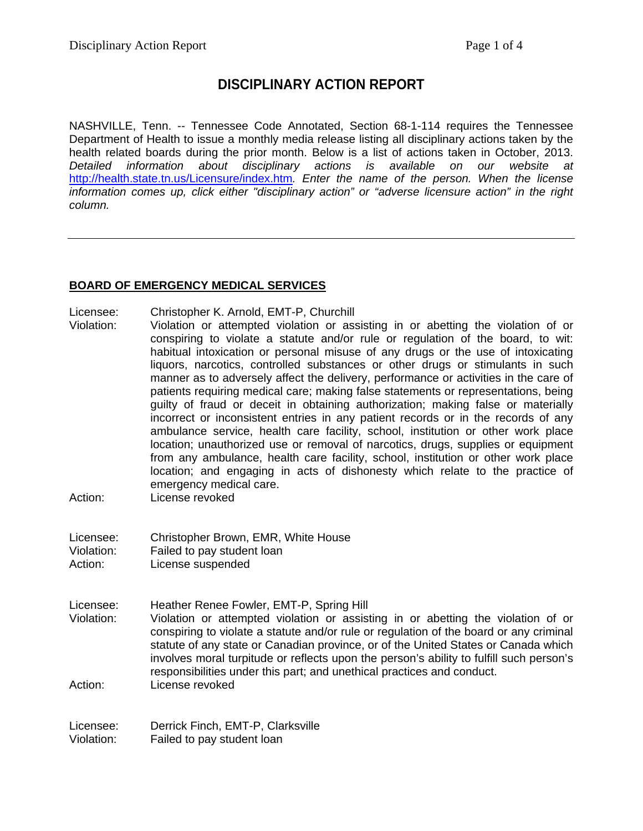# **DISCIPLINARY ACTION REPORT**

NASHVILLE, Tenn. -- Tennessee Code Annotated, Section 68-1-114 requires the Tennessee Department of Health to issue a monthly media release listing all disciplinary actions taken by the health related boards during the prior month. Below is a list of actions taken in October, 2013. *Detailed information about disciplinary actions is available on our website at*  <http://health.state.tn.us/Licensure/index.htm>*. Enter the name of the person. When the license information comes up, click either "disciplinary action" or "adverse licensure action" in the right column.*

## **BOARD OF EMERGENCY MEDICAL SERVICES**

- Licensee: Christopher K. Arnold, EMT-P, Churchill
- Violation: Violation or attempted violation or assisting in or abetting the violation of or conspiring to violate a statute and/or rule or regulation of the board, to wit: habitual intoxication or personal misuse of any drugs or the use of intoxicating liquors, narcotics, controlled substances or other drugs or stimulants in such manner as to adversely affect the delivery, performance or activities in the care of patients requiring medical care; making false statements or representations, being guilty of fraud or deceit in obtaining authorization; making false or materially incorrect or inconsistent entries in any patient records or in the records of any ambulance service, health care facility, school, institution or other work place location; unauthorized use or removal of narcotics, drugs, supplies or equipment from any ambulance, health care facility, school, institution or other work place location; and engaging in acts of dishonesty which relate to the practice of emergency medical care.
- Action: License revoked
- Licensee: Christopher Brown, EMR, White House Violation: Failed to pay student loan Action: License suspended
- Licensee: Heather Renee Fowler, EMT-P, Spring Hill Violation: Violation or attempted violation or assisting in or abetting the violation of or conspiring to violate a statute and/or rule or regulation of the board or any criminal statute of any state or Canadian province, or of the United States or Canada which involves moral turpitude or reflects upon the person's ability to fulfill such person's responsibilities under this part; and unethical practices and conduct. Action: License revoked

Licensee: Derrick Finch, EMT-P, Clarksville Violation: Failed to pay student loan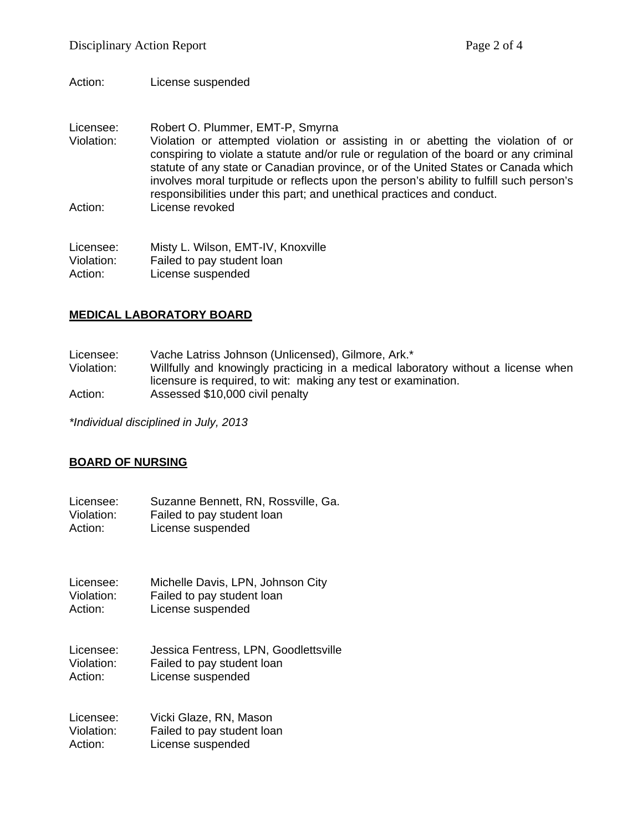Action: License suspended

Licensee: Robert O. Plummer, EMT-P, Smyrna Violation: Violation or attempted violation or assisting in or abetting the violation of or conspiring to violate a statute and/or rule or regulation of the board or any criminal statute of any state or Canadian province, or of the United States or Canada which involves moral turpitude or reflects upon the person's ability to fulfill such person's responsibilities under this part; and unethical practices and conduct. Action: License revoked

Licensee: Misty L. Wilson, EMT-IV, Knoxville Violation: Failed to pay student loan Action: License suspended

## **MEDICAL LABORATORY BOARD**

Licensee: Vache Latriss Johnson (Unlicensed), Gilmore, Ark.\*<br>Violation: Willfully and knowingly practicing in a medical labo

Willfully and knowingly practicing in a medical laboratory without a license when licensure is required, to wit: making any test or examination. Action: Assessed \$10,000 civil penalty

*\*Individual disciplined in July, 2013*

#### **BOARD OF NURSING**

Licensee: Suzanne Bennett, RN, Rossville, Ga.<br>Violation: Failed to pay student loan Violation: Failed to pay student loan<br>Action: Ficense suspended License suspended

Licensee: Michelle Davis, LPN, Johnson City Violation: Failed to pay student loan Action: License suspended

Licensee: Jessica Fentress, LPN, Goodlettsville Violation: Failed to pay student loan Action: License suspended

Licensee: Vicki Glaze, RN, Mason Violation: Failed to pay student loan Action: License suspended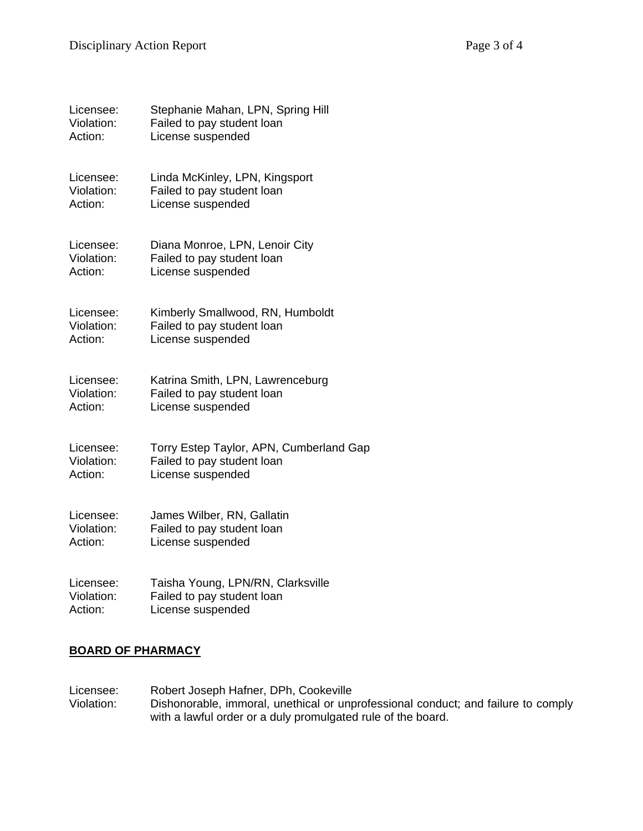| Licensee:  | Stephanie Mahan, LPN, Spring Hill       |
|------------|-----------------------------------------|
| Violation: | Failed to pay student loan              |
| Action:    | License suspended                       |
| Licensee:  | Linda McKinley, LPN, Kingsport          |
| Violation: | Failed to pay student loan              |
| Action:    | License suspended                       |
| Licensee:  | Diana Monroe, LPN, Lenoir City          |
| Violation: | Failed to pay student loan              |
| Action:    | License suspended                       |
| Licensee:  | Kimberly Smallwood, RN, Humboldt        |
| Violation: | Failed to pay student loan              |
| Action:    | License suspended                       |
| Licensee:  | Katrina Smith, LPN, Lawrenceburg        |
| Violation: | Failed to pay student loan              |
| Action:    | License suspended                       |
| Licensee:  | Torry Estep Taylor, APN, Cumberland Gap |
| Violation: | Failed to pay student loan              |
| Action:    | License suspended                       |
| Licensee:  | James Wilber, RN, Gallatin              |
| Violation: | Failed to pay student loan              |
| Action:    | License suspended                       |
| Licensee:  | Taisha Young, LPN/RN, Clarksville       |
| Violation: | Failed to pay student loan              |
| Action:    | License suspended                       |

## **BOARD OF PHARMACY**

Licensee: Robert Joseph Hafner, DPh, Cookeville<br>Violation: Dishonorable, immoral, unethical or unp Dishonorable, immoral, unethical or unprofessional conduct; and failure to comply with a lawful order or a duly promulgated rule of the board.